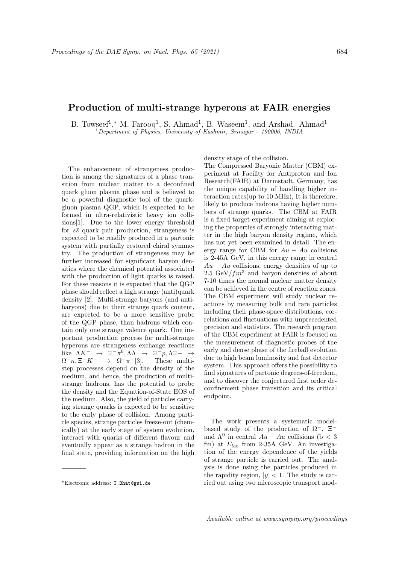## Production of multi-strange hyperons at FAIR energies

B. Towseef<sup>1</sup>,<sup>\*</sup> M. Farooq<sup>1</sup>, S. Ahmad<sup>1</sup>, B. Waseem<sup>1</sup>, and Arshad. Ahmad<sup>1</sup> <sup>1</sup>Department of Physics, University of Kashmir, Srinagar - 190006, INDIA

The enhancement of strangeness production is among the signatures of a phase transition from nuclear matter to a deconfined quark gluon plasma phase and is believed to be a powerful diagnostic tool of the quarkgluon plasma QGP, which is expected to be formed in ultra-relativistic heavy ion collisions[1]. Due to the lower energy threshold for  $s\bar{s}$  quark pair production, strangeness is expected to be readily produced in a partonic system with partially restored chiral symmetry. The production of strangeness may be further increased for significant baryon densities where the chemical potential associated with the production of light quarks is raised. For these reasons it is expected that the QGP phase should reflect a high strange (anti)quark density [2]. Multi-strange baryons (and antibaryons) due to their strange quark content, are expected to be a more sensitive probe of the QGP phase, than hadrons which contain only one strange valence quark. One important production process for multi-strange hyperons are strangeness exchange reactions like  $\Lambda K^- \rightarrow \Xi^- \pi^0, \Lambda \Lambda \rightarrow \Xi^- p, \Lambda \Xi - \rightarrow$  $\Omega^- n, \Xi^- K^- \rightarrow \Omega^- \pi$ These multistep processes depend on the density of the medium, and hence, the production of multistrange hadrons, has the potential to probe the density and the Equation-of-State EOS of the medium. Also, the yield of particles carrying strange quarks is expected to be sensitive to the early phase of collision. Among particle species, strange particles freeze-out (chemically) at the early stage of system evolution, interact with quarks of different flavour and eventually appear as a strange hadron in the final state, providing information on the high

density stage of the collision.

The Compressed Baryonic Matter (CBM) experiment at Facility for Antiproton and Ion Research(FAIR) at Darmstadt, Germany, has the unique capability of handling higher interaction rates(up to 10 MHz), It is therefore, likely to produce hadrons having higher numbers of strange quarks. The CBM at FAIR is a fixed target experiment aiming at exploring the properties of strongly interacting matter in the high baryon density regime, which has not yet been examined in detail. The energy range for CBM for  $Au - Au$  collisions is 2-45A GeV, in this energy range in central  $Au - Au$  collisions, energy densities of up to 2.5 GeV/ $fm^3$  and baryon densities of about 7-10 times the normal nuclear matter density can be achieved in the centre of reaction zones. The CBM experiment will study nuclear reactions by measuring bulk and rare particles including their phase-space distributions, correlations and fluctuations with unprecedented precision and statistics. The research program of the CBM experiment at FAIR is focused on the measurement of diagnostic probes of the early and dense phase of the fireball evolution due to high beam luminosity and fast detector system. This approach offers the possibility to find signatures of partonic degrees-of-freedom, and to discover the conjectured first order deconfinement phase transition and its critical endpoint.

The work presents a systematic modelbased study of the production of  $\Omega^-$ ,  $\Xi^$ and  $\Lambda^0$  in central  $Au - Au$  collisions (b < 3 fm) at  $E_{lab}$  from 2-35A GeV. An investigation of the energy dependence of the yields of strange particle is carried out. The analysis is done using the particles produced in the rapidity region,  $|y| < 1$ . The study is carried out using two microscopic transport mod-

<sup>∗</sup>Electronic address: T.Bhat@gsi.de